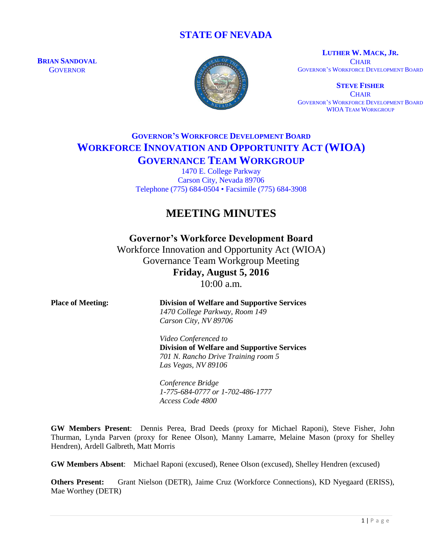## **STATE OF NEVADA**

**BRIAN SANDOVAL GOVERNOR** 



**LUTHER W. MACK, JR. CHAIR** GOVERNOR'S WORKFORCE DEVELOPMENT BOARD

**STEVE FISHER CHAIR** GOVERNOR'S WORKFORCE DEVELOPMENT BOARD WIOA TEAM WORKGROUP

# **GOVERNOR'S WORKFORCE DEVELOPMENT BOARD WORKFORCE INNOVATION AND OPPORTUNITY ACT (WIOA) GOVERNANCE TEAM WORKGROUP**

1470 E. College Parkway Carson City, Nevada 89706 Telephone (775) 684-0504 • Facsimile (775) 684-3908

# **MEETING MINUTES**

## **Governor's Workforce Development Board**

Workforce Innovation and Opportunity Act (WIOA) Governance Team Workgroup Meeting **Friday, August 5, 2016**

10:00 a.m.

| <b>Place of Meeting:</b> | <b>Division of Welfare and Supportive Services</b><br>1470 College Parkway, Room 149 |
|--------------------------|--------------------------------------------------------------------------------------|
|                          | Carson City, NV 89706                                                                |
|                          | Video Conferenced to                                                                 |
|                          | <b>Division of Welfare and Supportive Services</b>                                   |
|                          | 701 N. Rancho Drive Training room 5                                                  |
|                          | Las Vegas, NV 89106                                                                  |
|                          | Conference Bridge                                                                    |
|                          | 1-775-684-0777 or 1-702-486-1777                                                     |
|                          | Access Code 4800                                                                     |

**GW Members Present**: Dennis Perea, Brad Deeds (proxy for Michael Raponi), Steve Fisher, John Thurman, Lynda Parven (proxy for Renee Olson), Manny Lamarre, Melaine Mason (proxy for Shelley Hendren), Ardell Galbreth, Matt Morris

**GW Members Absent**: Michael Raponi (excused), Renee Olson (excused), Shelley Hendren (excused)

**Others Present:** Grant Nielson (DETR), Jaime Cruz (Workforce Connections), KD Nyegaard (ERISS), Mae Worthey (DETR)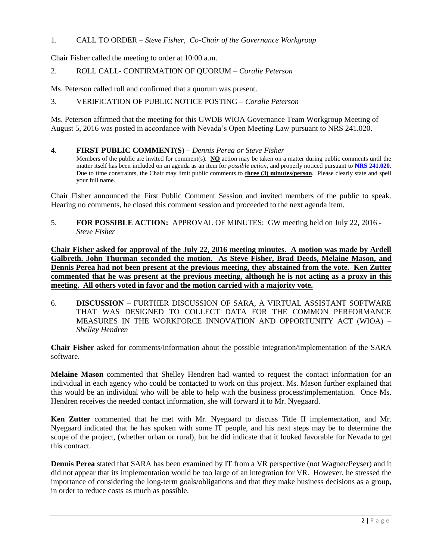1. CALL TO ORDER – *Steve Fisher, Co-Chair of the Governance Workgroup*

Chair Fisher called the meeting to order at 10:00 a.m.

2. ROLL CALL- CONFIRMATION OF QUORUM – *Coralie Peterson*

Ms. Peterson called roll and confirmed that a quorum was present.

3. VERIFICATION OF PUBLIC NOTICE POSTING – *Coralie Peterson*

Ms. Peterson affirmed that the meeting for this GWDB WIOA Governance Team Workgroup Meeting of August 5, 2016 was posted in accordance with Nevada's Open Meeting Law pursuant to NRS 241.020.

#### 4. **FIRST PUBLIC COMMENT(S) –** *Dennis Perea or Steve Fisher*

Members of the public are invited for comment(s). **NO** action may be taken on a matter during public comments until the matter itself has been included on an agenda as an item for *possible action*, and properly noticed pursuant to **[NRS 241.020](http://www.leg.state.nv.us/NRS/NRS-241.html#NRS241Sec020)**. Due to time constraints, the Chair may limit public comments to **three (3) minutes/person**. Please clearly state and spell your full name.

Chair Fisher announced the First Public Comment Session and invited members of the public to speak. Hearing no comments, he closed this comment session and proceeded to the next agenda item.

5. **FOR POSSIBLE ACTION:** APPROVAL OF MINUTES: GW meeting held on July 22, 2016 - *Steve Fisher*

**Chair Fisher asked for approval of the July 22, 2016 meeting minutes. A motion was made by Ardell Galbreth. John Thurman seconded the motion. As Steve Fisher, Brad Deeds, Melaine Mason, and Dennis Perea had not been present at the previous meeting, they abstained from the vote. Ken Zutter commented that he was present at the previous meeting, although he is not acting as a proxy in this meeting. All others voted in favor and the motion carried with a majority vote.**

6. **DISCUSSION –** FURTHER DISCUSSION OF SARA, A VIRTUAL ASSISTANT SOFTWARE THAT WAS DESIGNED TO COLLECT DATA FOR THE COMMON PERFORMANCE MEASURES IN THE WORKFORCE INNOVATION AND OPPORTUNITY ACT (WIOA) – *Shelley Hendren*

**Chair Fisher** asked for comments/information about the possible integration/implementation of the SARA software.

**Melaine Mason** commented that Shelley Hendren had wanted to request the contact information for an individual in each agency who could be contacted to work on this project. Ms. Mason further explained that this would be an individual who will be able to help with the business process/implementation. Once Ms. Hendren receives the needed contact information, she will forward it to Mr. Nyegaard.

**Ken Zutter** commented that he met with Mr. Nyegaard to discuss Title II implementation, and Mr. Nyegaard indicated that he has spoken with some IT people, and his next steps may be to determine the scope of the project, (whether urban or rural), but he did indicate that it looked favorable for Nevada to get this contract.

**Dennis Perea** stated that SARA has been examined by IT from a VR perspective (not Wagner/Peyser) and it did not appear that its implementation would be too large of an integration for VR. However, he stressed the importance of considering the long-term goals/obligations and that they make business decisions as a group, in order to reduce costs as much as possible.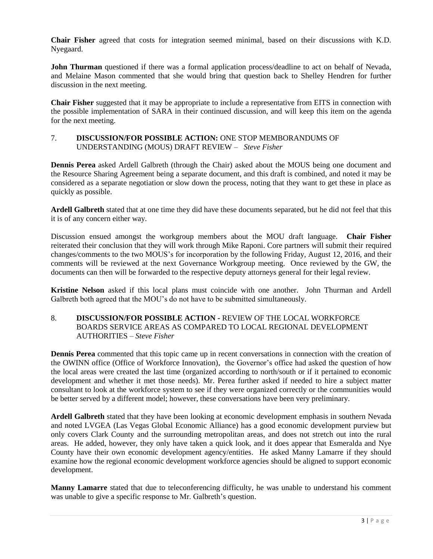**Chair Fisher** agreed that costs for integration seemed minimal, based on their discussions with K.D. Nyegaard.

**John Thurman** questioned if there was a formal application process/deadline to act on behalf of Nevada, and Melaine Mason commented that she would bring that question back to Shelley Hendren for further discussion in the next meeting.

**Chair Fisher** suggested that it may be appropriate to include a representative from EITS in connection with the possible implementation of SARA in their continued discussion, and will keep this item on the agenda for the next meeting.

### 7. **DISCUSSION/FOR POSSIBLE ACTION:** ONE STOP MEMBORANDUMS OF UNDERSTANDING (MOUS) DRAFT REVIEW – *Steve Fisher*

**Dennis Perea** asked Ardell Galbreth (through the Chair) asked about the MOUS being one document and the Resource Sharing Agreement being a separate document, and this draft is combined, and noted it may be considered as a separate negotiation or slow down the process, noting that they want to get these in place as quickly as possible.

**Ardell Galbreth** stated that at one time they did have these documents separated, but he did not feel that this it is of any concern either way.

Discussion ensued amongst the workgroup members about the MOU draft language. **Chair Fisher** reiterated their conclusion that they will work through Mike Raponi. Core partners will submit their required changes/comments to the two MOUS's for incorporation by the following Friday, August 12, 2016, and their comments will be reviewed at the next Governance Workgroup meeting. Once reviewed by the GW, the documents can then will be forwarded to the respective deputy attorneys general for their legal review.

**Kristine Nelson** asked if this local plans must coincide with one another. John Thurman and Ardell Galbreth both agreed that the MOU's do not have to be submitted simultaneously.

### 8. **DISCUSSION/FOR POSSIBLE ACTION -** REVIEW OF THE LOCAL WORKFORCE BOARDS SERVICE AREAS AS COMPARED TO LOCAL REGIONAL DEVELOPMENT AUTHORITIES – *Steve Fisher*

**Dennis Perea** commented that this topic came up in recent conversations in connection with the creation of the OWINN office (Office of Workforce Innovation), the Governor's office had asked the question of how the local areas were created the last time (organized according to north/south or if it pertained to economic development and whether it met those needs). Mr. Perea further asked if needed to hire a subject matter consultant to look at the workforce system to see if they were organized correctly or the communities would be better served by a different model; however, these conversations have been very preliminary.

**Ardell Galbreth** stated that they have been looking at economic development emphasis in southern Nevada and noted LVGEA (Las Vegas Global Economic Alliance) has a good economic development purview but only covers Clark County and the surrounding metropolitan areas, and does not stretch out into the rural areas. He added, however, they only have taken a quick look, and it does appear that Esmeralda and Nye County have their own economic development agency/entities. He asked Manny Lamarre if they should examine how the regional economic development workforce agencies should be aligned to support economic development.

**Manny Lamarre** stated that due to teleconferencing difficulty, he was unable to understand his comment was unable to give a specific response to Mr. Galbreth's question.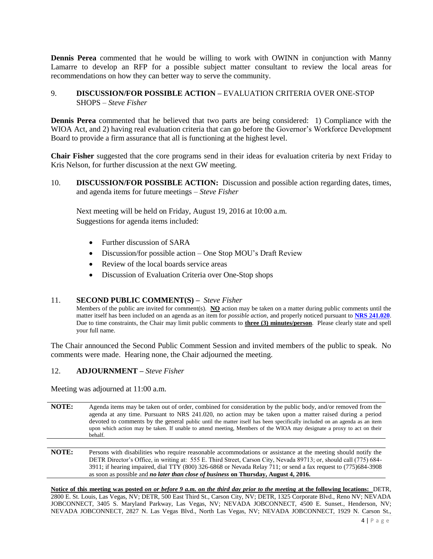**Dennis Perea** commented that he would be willing to work with OWINN in conjunction with Manny Lamarre to develop an RFP for a possible subject matter consultant to review the local areas for recommendations on how they can better way to serve the community.

### 9. **DISCUSSION/FOR POSSIBLE ACTION –** EVALUATION CRITERIA OVER ONE-STOP SHOPS – *Steve Fisher*

**Dennis Perea** commented that he believed that two parts are being considered: 1) Compliance with the WIOA Act, and 2) having real evaluation criteria that can go before the Governor's Workforce Development Board to provide a firm assurance that all is functioning at the highest level.

**Chair Fisher** suggested that the core programs send in their ideas for evaluation criteria by next Friday to Kris Nelson, for further discussion at the next GW meeting.

10. **DISCUSSION/FOR POSSIBLE ACTION:** Discussion and possible action regarding dates, times, and agenda items for future meetings – *Steve Fisher*

Next meeting will be held on Friday, August 19, 2016 at 10:00 a.m. Suggestions for agenda items included:

- Further discussion of SARA
- Discussion/for possible action One Stop MOU's Draft Review
- Review of the local boards service areas
- Discussion of Evaluation Criteria over One-Stop shops

#### 11. **SECOND PUBLIC COMMENT(S) –** *Steve Fisher*

Members of the public are invited for comment(s). **NO** action may be taken on a matter during public comments until the matter itself has been included on an agenda as an item for *possible action*, and properly noticed pursuant to **[NRS 241.020](http://www.leg.state.nv.us/NRS/NRS-241.html#NRS241Sec020)**. Due to time constraints, the Chair may limit public comments to **three (3) minutes/person**. Please clearly state and spell your full name.

The Chair announced the Second Public Comment Session and invited members of the public to speak. No comments were made. Hearing none, the Chair adjourned the meeting.

#### 12. **ADJOURNMENT –** *Steve Fisher*

Meeting was adjourned at 11:00 a.m.

- **NOTE:** Agenda items may be taken out of order, combined for consideration by the public body, and/or removed from the agenda at any time. Pursuant to NRS 241.020, no action may be taken upon a matter raised during a period devoted to comments by the general public until the matter itself has been specifically included on an agenda as an item upon which action may be taken. If unable to attend meeting, Members of the WIOA may designate a proxy to act on their behalf.
- **NOTE:** Persons with disabilities who require reasonable accommodations or assistance at the meeting should notify the DETR Director's Office, in writing at: 555 E. Third Street, Carson City, Nevada 89713; or, should call (775) 684- 3911; if hearing impaired, dial TTY (800) 326-6868 or Nevada Relay 711; or send a fax request to (775)684-3908 as soon as possible and *no later than close of business* **on Thursday, August 4, 2016.**

**Notice of this meeting was posted** *on or before 9 a.m. on the third day prior to the meeting* **at the following locations:** DETR, 2800 E. St. Louis, Las Vegas, NV; DETR, 500 East Third St., Carson City, NV; DETR, 1325 Corporate Blvd., Reno NV; NEVADA JOBCONNECT, 3405 S. Maryland Parkway, Las Vegas, NV; NEVADA JOBCONNECT, 4500 E. Sunset., Henderson, NV; NEVADA JOBCONNECT, 2827 N. Las Vegas Blvd., North Las Vegas, NV; NEVADA JOBCONNECT, 1929 N. Carson St.,